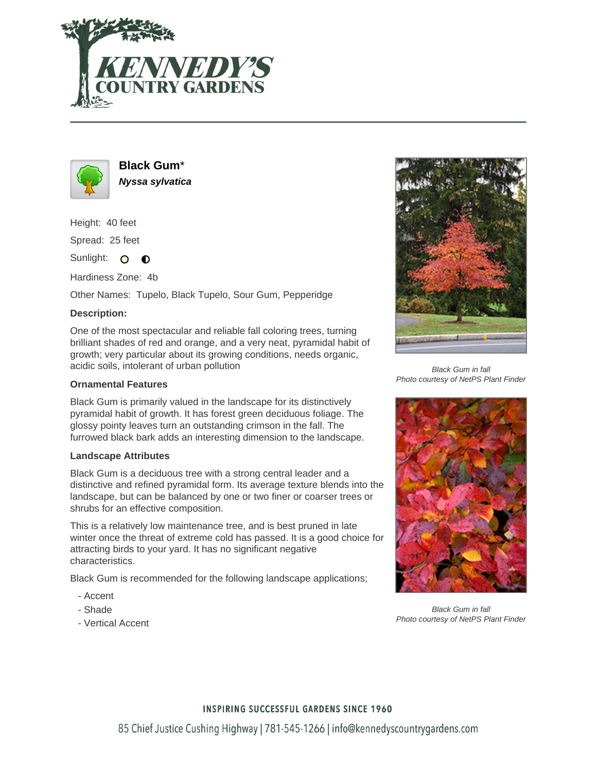



**Black Gum**\* **Nyssa sylvatica**

Height: 40 feet Spread: 25 feet

Sunlight: O **O** 

Hardiness Zone: 4b

Other Names: Tupelo, Black Tupelo, Sour Gum, Pepperidge

## **Description:**

One of the most spectacular and reliable fall coloring trees, turning brilliant shades of red and orange, and a very neat, pyramidal habit of growth; very particular about its growing conditions, needs organic, acidic soils, intolerant of urban pollution

## **Ornamental Features**

Black Gum is primarily valued in the landscape for its distinctively pyramidal habit of growth. It has forest green deciduous foliage. The glossy pointy leaves turn an outstanding crimson in the fall. The furrowed black bark adds an interesting dimension to the landscape.

#### **Landscape Attributes**

Black Gum is a deciduous tree with a strong central leader and a distinctive and refined pyramidal form. Its average texture blends into the landscape, but can be balanced by one or two finer or coarser trees or shrubs for an effective composition.

This is a relatively low maintenance tree, and is best pruned in late winter once the threat of extreme cold has passed. It is a good choice for attracting birds to your yard. It has no significant negative characteristics.

Black Gum is recommended for the following landscape applications;

- Accent
- Shade
- Vertical Accent



Black Gum in fall Photo courtesy of NetPS Plant Finder



Black Gum in fall Photo courtesy of NetPS Plant Finder

## **INSPIRING SUCCESSFUL GARDENS SINCE 1960**